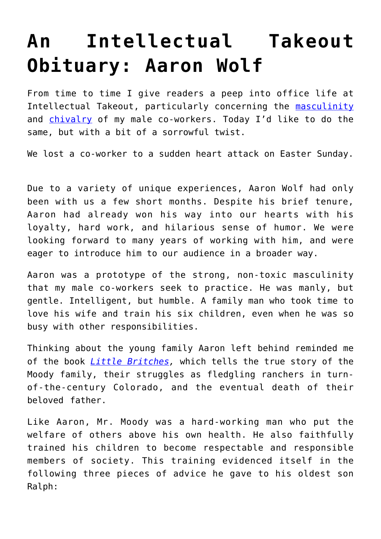## **[An Intellectual Takeout](https://intellectualtakeout.org/2019/04/an-intellectual-takeout-obituary-aaron-wolf/) [Obituary: Aaron Wolf](https://intellectualtakeout.org/2019/04/an-intellectual-takeout-obituary-aaron-wolf/)**

From time to time I give readers a peep into office life at Intellectual Takeout, particularly concerning the [masculinity](https://www.intellectualtakeout.org/article/breaking-silence-toxic-masculinity-intellectual-takeout) and [chivalry](https://www.intellectualtakeout.org/article/how-toxic-masculinity-permeates-intellectual-takeout-office) of my male co-workers. Today I'd like to do the same, but with a bit of a sorrowful twist.

We lost a co-worker to a sudden heart attack on Easter Sunday.

Due to a variety of unique experiences, Aaron Wolf had only been with us a few short months. Despite his brief tenure, Aaron had already won his way into our hearts with his loyalty, hard work, and hilarious sense of humor. We were looking forward to many years of working with him, and were eager to introduce him to our audience in a broader way.

Aaron was a prototype of the strong, non-toxic masculinity that my male co-workers seek to practice. He was manly, but gentle. Intelligent, but humble. A family man who took time to love his wife and train his six children, even when he was so busy with other responsibilities.

Thinking about the young family Aaron left behind reminded me of the book *[Little Britches,](https://www.amazon.com/gp/product/0803281781/ref=as_li_qf_asin_il_tl?ie=UTF8&tag=intelltakeo0d-20&creative=9325&linkCode=as2&creativeASIN=0803281781&linkId=3cc63cbb81dc0cd8e0066d254b383939)* which tells the true story of the Moody family, their struggles as fledgling ranchers in turnof-the-century Colorado, and the eventual death of their beloved father.

Like Aaron, Mr. Moody was a hard-working man who put the welfare of others above his own health. He also faithfully trained his children to become respectable and responsible members of society. This training evidenced itself in the following three pieces of advice he gave to his oldest son Ralph: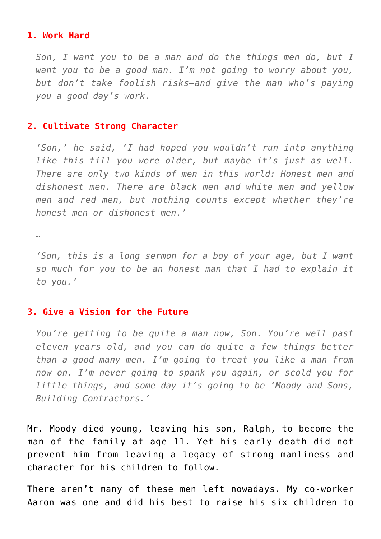## **1. Work Hard**

*Son, I want you to be a man and do the things men do, but I want you to be a good man. I'm not going to worry about you, but don't take foolish risks—and give the man who's paying you a good day's work.*

## **2. Cultivate Strong Character**

*'Son,' he said, 'I had hoped you wouldn't run into anything like this till you were older, but maybe it's just as well. There are only two kinds of men in this world: Honest men and dishonest men. There are black men and white men and yellow men and red men, but nothing counts except whether they're honest men or dishonest men.'*

*…*

*'Son, this is a long sermon for a boy of your age, but I want so much for you to be an honest man that I had to explain it to you.'*

## **3. Give a Vision for the Future**

*You're getting to be quite a man now, Son. You're well past eleven years old, and you can do quite a few things better than a good many men. I'm going to treat you like a man from now on. I'm never going to spank you again, or scold you for little things, and some day it's going to be 'Moody and Sons, Building Contractors.'*

Mr. Moody died young, leaving his son, Ralph, to become the man of the family at age 11. Yet his early death did not prevent him from leaving a legacy of strong manliness and character for his children to follow.

There aren't many of these men left nowadays. My co-worker Aaron was one and did his best to raise his six children to